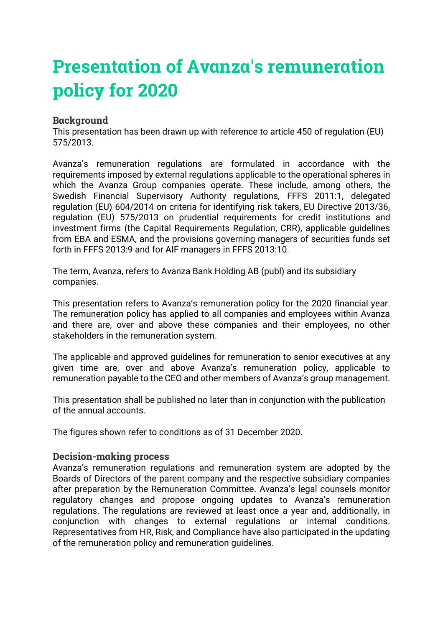# **Presentation of Avanza's remuneration policy for 2020**

#### **Background**

This presentation has been drawn up with reference to article 450 of regulation (EU) 575/2013.

Avanza's remuneration regulations are formulated in accordance with the requirements imposed by external regulations applicable to the operational spheres in which the Avanza Group companies operate. These include, among others, the Swedish Financial Supervisory Authority regulations, FFFS 2011:1, delegated regulation (EU) 604/2014 on criteria for identifying risk takers, EU Directive 2013/36, regulation (EU) 575/2013 on prudential requirements for credit institutions and investment firms (the Capital Requirements Regulation, CRR), applicable guidelines from EBA and ESMA, and the provisions governing managers of securities funds set forth in FFFS 2013:9 and for AIF managers in FFFS 2013:10.

The term, Avanza, refers to Avanza Bank Holding AB (publ) and its subsidiary companies.

This presentation refers to Avanza's remuneration policy for the 2020 financial year. The remuneration policy has applied to all companies and employees within Avanza and there are, over and above these companies and their employees, no other stakeholders in the remuneration system.

The applicable and approved guidelines for remuneration to senior executives at any given time are, over and above Avanza's remuneration policy, applicable to remuneration payable to the CEO and other members of Avanza's group management.

This presentation shall be published no later than in conjunction with the publication of the annual accounts.

The figures shown refer to conditions as of 31 December 2020.

#### **Decision-making process**

Avanza's remuneration regulations and remuneration system are adopted by the Boards of Directors of the parent company and the respective subsidiary companies after preparation by the Remuneration Committee. Avanza's legal counsels monitor regulatory changes and propose ongoing updates to Avanza's remuneration regulations. The regulations are reviewed at least once a year and, additionally, in conjunction with changes to external regulations or internal conditions. Representatives from HR, Risk, and Compliance have also participated in the updating of the remuneration policy and remuneration guidelines.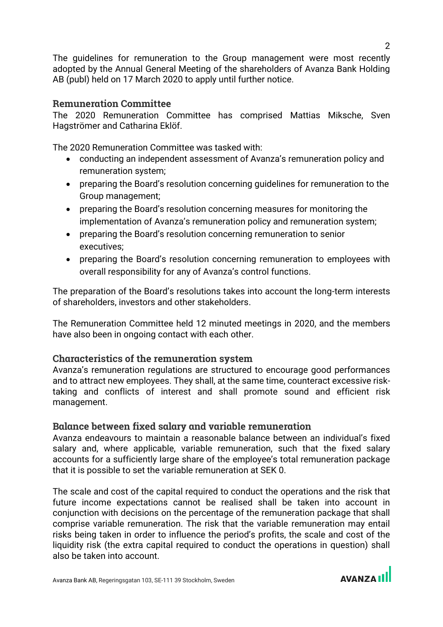The guidelines for remuneration to the Group management were most recently adopted by the Annual General Meeting of the shareholders of Avanza Bank Holding AB (publ) held on 17 March 2020 to apply until further notice.

#### **Remuneration Committee**

The 2020 Remuneration Committee has comprised Mattias Miksche, Sven Hagströmer and Catharina Eklöf.

The 2020 Remuneration Committee was tasked with:

- conducting an independent assessment of Avanza's remuneration policy and remuneration system;
- preparing the Board's resolution concerning guidelines for remuneration to the Group management;
- preparing the Board's resolution concerning measures for monitoring the implementation of Avanza's remuneration policy and remuneration system;
- preparing the Board's resolution concerning remuneration to senior executives;
- preparing the Board's resolution concerning remuneration to employees with overall responsibility for any of Avanza's control functions.

The preparation of the Board's resolutions takes into account the long-term interests of shareholders, investors and other stakeholders.

The Remuneration Committee held 12 minuted meetings in 2020, and the members have also been in ongoing contact with each other.

#### **Characteristics of the remuneration system**

Avanza's remuneration regulations are structured to encourage good performances and to attract new employees. They shall, at the same time, counteract excessive risktaking and conflicts of interest and shall promote sound and efficient risk management.

#### **Balance between fixed salary and variable remuneration**

Avanza endeavours to maintain a reasonable balance between an individual's fixed salary and, where applicable, variable remuneration, such that the fixed salary accounts for a sufficiently large share of the employee's total remuneration package that it is possible to set the variable remuneration at SEK 0.

The scale and cost of the capital required to conduct the operations and the risk that future income expectations cannot be realised shall be taken into account in conjunction with decisions on the percentage of the remuneration package that shall comprise variable remuneration. The risk that the variable remuneration may entail risks being taken in order to influence the period's profits, the scale and cost of the liquidity risk (the extra capital required to conduct the operations in question) shall also be taken into account.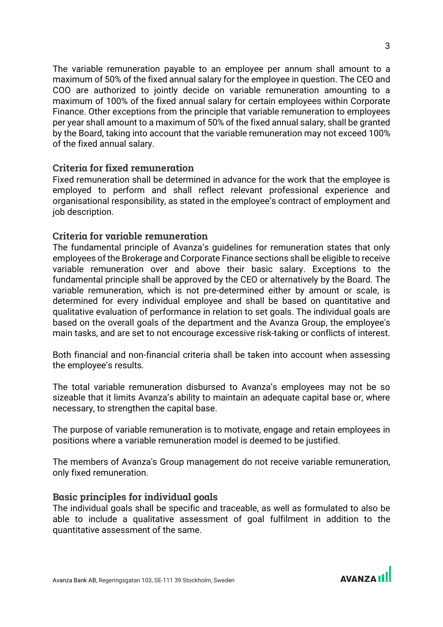The variable remuneration payable to an employee per annum shall amount to a maximum of 50% of the fixed annual salary for the employee in question. The CEO and COO are authorized to jointly decide on variable remuneration amounting to a maximum of 100% of the fixed annual salary for certain employees within Corporate Finance. Other exceptions from the principle that variable remuneration to employees per year shall amount to a maximum of 50% of the fixed annual salary, shall be granted by the Board, taking into account that the variable remuneration may not exceed 100% of the fixed annual salary.

#### **Criteria for fixed remuneration**

Fixed remuneration shall be determined in advance for the work that the employee is employed to perform and shall reflect relevant professional experience and organisational responsibility, as stated in the employee's contract of employment and job description.

#### **Criteria for variable remuneration**

The fundamental principle of Avanza's guidelines for remuneration states that only employees of the Brokerage and Corporate Finance sections shall be eligible to receive variable remuneration over and above their basic salary. Exceptions to the fundamental principle shall be approved by the CEO or alternatively by the Board. The variable remuneration, which is not pre-determined either by amount or scale, is determined for every individual employee and shall be based on quantitative and qualitative evaluation of performance in relation to set goals. The individual goals are based on the overall goals of the department and the Avanza Group, the employee's main tasks, and are set to not encourage excessive risk-taking or conflicts of interest.

Both financial and non-financial criteria shall be taken into account when assessing the employee's results.

The total variable remuneration disbursed to Avanza's employees may not be so sizeable that it limits Avanza's ability to maintain an adequate capital base or, where necessary, to strengthen the capital base.

The purpose of variable remuneration is to motivate, engage and retain employees in positions where a variable remuneration model is deemed to be justified.

The members of Avanza's Group management do not receive variable remuneration, only fixed remuneration.

#### **Basic principles for individual goals**

The individual goals shall be specific and traceable, as well as formulated to also be able to include a qualitative assessment of goal fulfilment in addition to the quantitative assessment of the same.

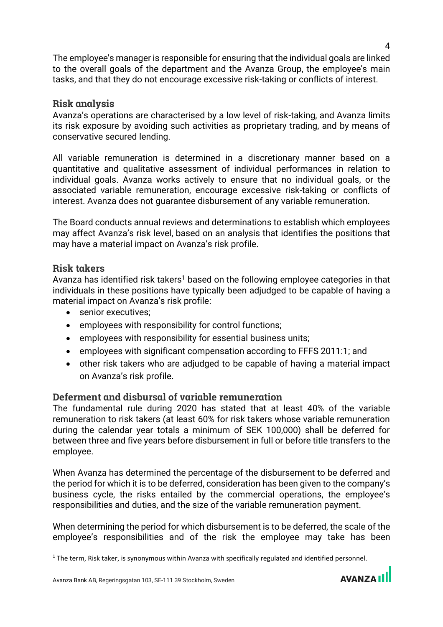The employee's manager is responsible for ensuring that the individual goals are linked to the overall goals of the department and the Avanza Group, the employee's main tasks, and that they do not encourage excessive risk-taking or conflicts of interest.

#### **Risk analysis**

Avanza's operations are characterised by a low level of risk-taking, and Avanza limits its risk exposure by avoiding such activities as proprietary trading, and by means of conservative secured lending.

All variable remuneration is determined in a discretionary manner based on a quantitative and qualitative assessment of individual performances in relation to individual goals. Avanza works actively to ensure that no individual goals, or the associated variable remuneration, encourage excessive risk-taking or conflicts of interest. Avanza does not guarantee disbursement of any variable remuneration.

The Board conducts annual reviews and determinations to establish which employees may affect Avanza's risk level, based on an analysis that identifies the positions that may have a material impact on Avanza's risk profile.

### **Risk takers**

Avanza has identified risk takers<sup>1</sup> based on the following employee categories in that individuals in these positions have typically been adjudged to be capable of having a material impact on Avanza's risk profile:

- senior executives;
- employees with responsibility for control functions;
- employees with responsibility for essential business units;
- employees with significant compensation according to FFFS 2011:1; and
- other risk takers who are adjudged to be capable of having a material impact on Avanza's risk profile.

# **Deferment and disbursal of variable remuneration**

The fundamental rule during 2020 has stated that at least 40% of the variable remuneration to risk takers (at least 60% for risk takers whose variable remuneration during the calendar year totals a minimum of SEK 100,000) shall be deferred for between three and five years before disbursement in full or before title transfers to the employee.

When Avanza has determined the percentage of the disbursement to be deferred and the period for which it is to be deferred, consideration has been given to the company's business cycle, the risks entailed by the commercial operations, the employee's responsibilities and duties, and the size of the variable remuneration payment.

When determining the period for which disbursement is to be deferred, the scale of the employee's responsibilities and of the risk the employee may take has been



 $1$  The term, Risk taker, is synonymous within Avanza with specifically regulated and identified personnel.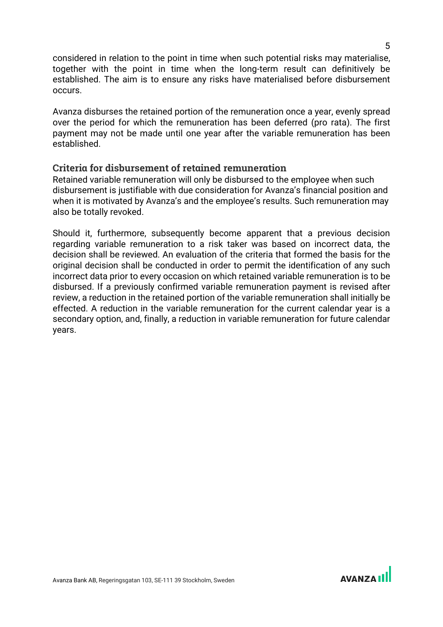considered in relation to the point in time when such potential risks may materialise, together with the point in time when the long-term result can definitively be established. The aim is to ensure any risks have materialised before disbursement occurs.

Avanza disburses the retained portion of the remuneration once a year, evenly spread over the period for which the remuneration has been deferred (pro rata). The first payment may not be made until one year after the variable remuneration has been established.

#### **Criteria for disbursement of retained remuneration**

Retained variable remuneration will only be disbursed to the employee when such disbursement is justifiable with due consideration for Avanza's financial position and when it is motivated by Avanza's and the employee's results. Such remuneration may also be totally revoked.

Should it, furthermore, subsequently become apparent that a previous decision regarding variable remuneration to a risk taker was based on incorrect data, the decision shall be reviewed. An evaluation of the criteria that formed the basis for the original decision shall be conducted in order to permit the identification of any such incorrect data prior to every occasion on which retained variable remuneration is to be disbursed. If a previously confirmed variable remuneration payment is revised after review, a reduction in the retained portion of the variable remuneration shall initially be effected. A reduction in the variable remuneration for the current calendar year is a secondary option, and, finally, a reduction in variable remuneration for future calendar years.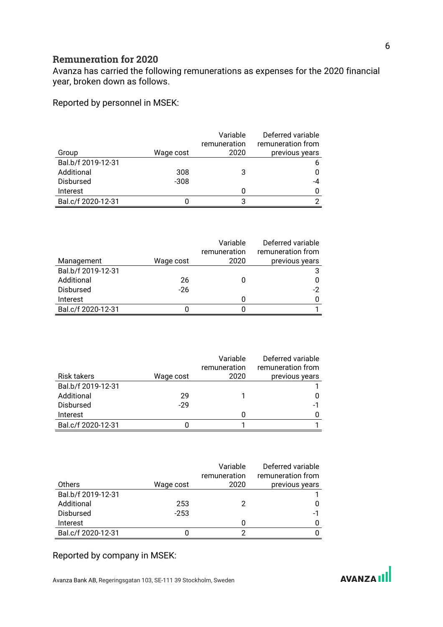## **Remuneration for 2020**

Avanza has carried the following remunerations as expenses for the 2020 financial year, broken down as follows.

Reported by personnel in MSEK:

|                    |           | Variable<br>remuneration | Deferred variable<br>remuneration from |
|--------------------|-----------|--------------------------|----------------------------------------|
| Group              | Wage cost | 2020                     | previous years                         |
| Bal.b/f 2019-12-31 |           |                          | b                                      |
| Additional         | 308       | 3                        |                                        |
| Disbursed          | $-308$    |                          | -4                                     |
| Interest           |           | 0                        |                                        |
| Bal.c/f 2020-12-31 |           | 3                        |                                        |

|                    |           | Variable     | Deferred variable |
|--------------------|-----------|--------------|-------------------|
|                    |           | remuneration | remuneration from |
| Management         | Wage cost | 2020         | previous years    |
| Bal.b/f 2019-12-31 |           |              |                   |
| Additional         | 26        |              |                   |
| <b>Disbursed</b>   | $-26$     |              | -2                |
| Interest           |           |              |                   |
| Bal.c/f 2020-12-31 |           |              |                   |

|                    |           | Variable<br>remuneration | Deferred variable<br>remuneration from |
|--------------------|-----------|--------------------------|----------------------------------------|
| <b>Risk takers</b> | Wage cost | 2020                     | previous years                         |
| Bal.b/f 2019-12-31 |           |                          |                                        |
| Additional         | 29        |                          |                                        |
| <b>Disbursed</b>   | $-29$     |                          | -1                                     |
| Interest           |           | O                        |                                        |
| Bal.c/f 2020-12-31 |           |                          |                                        |

|                    |           | Variable     | Deferred variable |
|--------------------|-----------|--------------|-------------------|
|                    |           | remuneration | remuneration from |
| Others             | Wage cost | 2020         | previous years    |
| Bal.b/f 2019-12-31 |           |              |                   |
| Additional         | 253       |              |                   |
| <b>Disbursed</b>   | $-253$    |              | -1                |
| Interest           |           | 0            |                   |
| Bal.c/f 2020-12-31 |           | ≘            |                   |

#### Reported by company in MSEK:

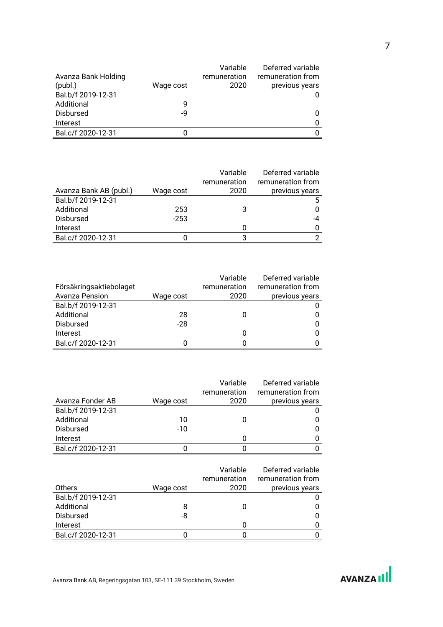|                     |           | Variable     | Deferred variable |
|---------------------|-----------|--------------|-------------------|
| Avanza Bank Holding |           | remuneration | remuneration from |
| (publ.)             | Wage cost | 2020         | previous years    |
| Bal.b/f 2019-12-31  |           |              |                   |
| Additional          | 9         |              |                   |
| <b>Disbursed</b>    | -9        |              | 0                 |
| Interest            |           |              | O                 |
| Bal.c/f 2020-12-31  |           |              |                   |

|                        |           | Variable     | Deferred variable |
|------------------------|-----------|--------------|-------------------|
|                        |           | remuneration | remuneration from |
| Avanza Bank AB (publ.) | Wage cost | 2020         | previous years    |
| Bal.b/f 2019-12-31     |           |              | 5.                |
| Additional             | 253       | 3            | 0                 |
| <b>Disbursed</b>       | $-253$    |              | $-4$              |
| Interest               |           |              | $\Omega$          |
| Bal.c/f 2020-12-31     |           | ર            | 2                 |

|                         |           | Variable     | Deferred variable |
|-------------------------|-----------|--------------|-------------------|
| Försäkringsaktiebolaget |           | remuneration | remuneration from |
| Avanza Pension          | Wage cost | 2020         | previous years    |
| Bal.b/f 2019-12-31      |           |              |                   |
| Additional              | 28        |              |                   |
| <b>Disbursed</b>        | $-28$     |              | 0                 |
| Interest                |           |              |                   |
| Bal.c/f 2020-12-31      |           |              |                   |

|                    |           | Variable     | Deferred variable |
|--------------------|-----------|--------------|-------------------|
|                    |           | remuneration | remuneration from |
| Avanza Fonder AB   | Wage cost | 2020         | previous years    |
| Bal.b/f 2019-12-31 |           |              |                   |
| Additional         | 10        |              |                   |
| <b>Disbursed</b>   | $-10$     |              | 0                 |
| Interest           |           |              |                   |
| Bal.c/f 2020-12-31 |           |              |                   |

|                    |           | Variable<br>remuneration | Deferred variable<br>remuneration from |
|--------------------|-----------|--------------------------|----------------------------------------|
| Others             | Wage cost | 2020                     | previous years                         |
| Bal.b/f 2019-12-31 |           |                          |                                        |
| Additional         | 8         |                          |                                        |
| <b>Disbursed</b>   | -8        |                          | 0                                      |
| Interest           |           |                          |                                        |
| Bal.c/f 2020-12-31 |           |                          |                                        |